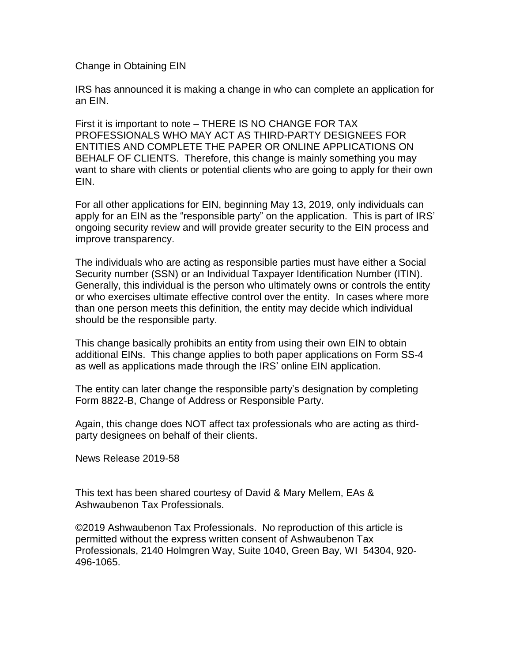Change in Obtaining EIN

IRS has announced it is making a change in who can complete an application for an EIN.

First it is important to note – THERE IS NO CHANGE FOR TAX PROFESSIONALS WHO MAY ACT AS THIRD-PARTY DESIGNEES FOR ENTITIES AND COMPLETE THE PAPER OR ONLINE APPLICATIONS ON BEHALF OF CLIENTS. Therefore, this change is mainly something you may want to share with clients or potential clients who are going to apply for their own EIN.

For all other applications for EIN, beginning May 13, 2019, only individuals can apply for an EIN as the "responsible party" on the application. This is part of IRS' ongoing security review and will provide greater security to the EIN process and improve transparency.

The individuals who are acting as responsible parties must have either a Social Security number (SSN) or an Individual Taxpayer Identification Number (ITIN). Generally, this individual is the person who ultimately owns or controls the entity or who exercises ultimate effective control over the entity. In cases where more than one person meets this definition, the entity may decide which individual should be the responsible party.

This change basically prohibits an entity from using their own EIN to obtain additional EINs. This change applies to both paper applications on Form SS-4 as well as applications made through the IRS' online EIN application.

The entity can later change the responsible party's designation by completing Form 8822-B, Change of Address or Responsible Party.

Again, this change does NOT affect tax professionals who are acting as thirdparty designees on behalf of their clients.

News Release 2019-58

This text has been shared courtesy of David & Mary Mellem, EAs & Ashwaubenon Tax Professionals.

©2019 Ashwaubenon Tax Professionals. No reproduction of this article is permitted without the express written consent of Ashwaubenon Tax Professionals, 2140 Holmgren Way, Suite 1040, Green Bay, WI 54304, 920- 496-1065.